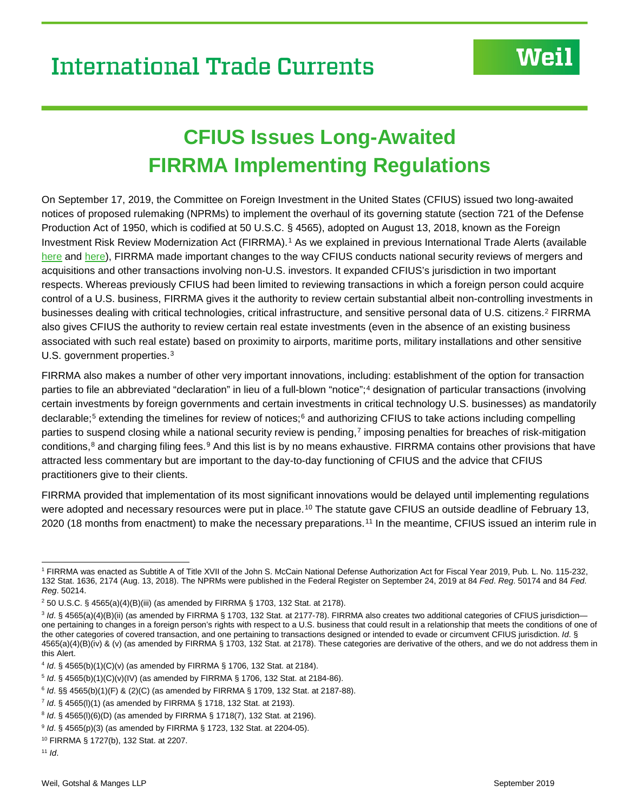# **CFIUS Issues Long-Awaited FIRRMA Implementing Regulations**

On September 17, 2019, the Committee on Foreign Investment in the United States (CFIUS) issued two long-awaited notices of proposed rulemaking (NPRMs) to implement the overhaul of its governing statute (section 721 of the Defense Production Act of 1950, which is codified at 50 U.S.C. § 4565), adopted on August 13, 2018, known as the Foreign Investment Risk Review Modernization Act (FIRRMA).<sup>[1](#page-0-0)</sup> As we explained in previous International Trade Alerts (available [here](https://www.weil.com/%7E/media/publications/alerts/2018/overhaul-of-cfius-national-security-reviews_alert.pdf) and [here\)](https://www.weil.com/%7E/media/mailings/2018/q3/18_10_15_int_trade_currents_alert.pdf), FIRRMA made important changes to the way CFIUS conducts national security reviews of mergers and acquisitions and other transactions involving non-U.S. investors. It expanded CFIUS's jurisdiction in two important respects. Whereas previously CFIUS had been limited to reviewing transactions in which a foreign person could acquire control of a U.S. business, FIRRMA gives it the authority to review certain substantial albeit non-controlling investments in businesses dealing with critical technologies, critical infrastructure, and sensitive personal data of U.S. citizens.<sup>[2](#page-0-1)</sup> FIRRMA also gives CFIUS the authority to review certain real estate investments (even in the absence of an existing business associated with such real estate) based on proximity to airports, maritime ports, military installations and other sensitive U.S. government properties.<sup>[3](#page-0-2)</sup>

FIRRMA also makes a number of other very important innovations, including: establishment of the option for transaction parties to file an abbreviated "declaration" in lieu of a full-blown "notice";<sup>[4](#page-0-3)</sup> designation of particular transactions (involving certain investments by foreign governments and certain investments in critical technology U.S. businesses) as mandatorily declarable;<sup>[5](#page-0-4)</sup> extending the timelines for review of notices;<sup>[6](#page-0-5)</sup> and authorizing CFIUS to take actions including compelling parties to suspend closing while a national security review is pending,<sup>[7](#page-0-6)</sup> imposing penalties for breaches of risk-mitigation conditions,<sup>[8](#page-0-7)</sup> and charging filing fees.<sup>[9](#page-0-8)</sup> And this list is by no means exhaustive. FIRRMA contains other provisions that have attracted less commentary but are important to the day-to-day functioning of CFIUS and the advice that CFIUS practitioners give to their clients.

FIRRMA provided that implementation of its most significant innovations would be delayed until implementing regulations were adopted and necessary resources were put in place.<sup>[10](#page-0-9)</sup> The statute gave CFIUS an outside deadline of February 13, 2020 (18 months from enactment) to make the necessary preparations.[11](#page-0-10) In the meantime, CFIUS issued an interim rule in

<span id="page-0-0"></span> <sup>1</sup> FIRRMA was enacted as Subtitle A of Title XVII of the John S. McCain National Defense Authorization Act for Fiscal Year 2019, Pub. L. No. 115-232, 132 Stat. 1636, 2174 (Aug. 13, 2018). The NPRMs were published in the Federal Register on September 24, 2019 at 84 *Fed*. *Reg*. 50174 and 84 *Fed*. *Reg*. 50214.

<span id="page-0-1"></span><sup>2</sup> 50 U.S.C. § 4565(a)(4)(B)(iii) (as amended by FIRRMA § 1703, 132 Stat. at 2178).

<span id="page-0-2"></span><sup>&</sup>lt;sup>3</sup> Id. § 4565(a)(4)(B)(ii) (as amended by FIRRMA § 1703, 132 Stat. at 2177-78). FIRRMA also creates two additional categories of CFIUS jurisdictionone pertaining to changes in a foreign person's rights with respect to a U.S. business that could result in a relationship that meets the conditions of one of the other categories of covered transaction, and one pertaining to transactions designed or intended to evade or circumvent CFIUS jurisdiction. *Id*. § 4565(a)(4)(B)(iv) & (v) (as amended by FIRRMA § 1703, 132 Stat. at 2178). These categories are derivative of the others, and we do not address them in this Alert.

<span id="page-0-3"></span><sup>4</sup> *Id*. § 4565(b)(1)(C)(v) (as amended by FIRRMA § 1706, 132 Stat. at 2184).

<span id="page-0-4"></span><sup>5</sup> *Id*. § 4565(b)(1)(C)(v)(IV) (as amended by FIRRMA § 1706, 132 Stat. at 2184-86).

<span id="page-0-5"></span><sup>6</sup> *Id*. §§ 4565(b)(1)(F) & (2)(C) (as amended by FIRRMA § 1709, 132 Stat. at 2187-88).

<span id="page-0-6"></span><sup>7</sup> *Id*. § 4565(l)(1) (as amended by FIRRMA § 1718, 132 Stat. at 2193).

<span id="page-0-7"></span><sup>8</sup> *Id*. § 4565(l)(6)(D) (as amended by FIRRMA § 1718(7), 132 Stat. at 2196).

<span id="page-0-8"></span><sup>9</sup> *Id*. § 4565(p)(3) (as amended by FIRRMA § 1723, 132 Stat. at 2204-05).

<span id="page-0-9"></span><sup>10</sup> FIRRMA § 1727(b), 132 Stat. at 2207.

<span id="page-0-10"></span><sup>11</sup> *Id*.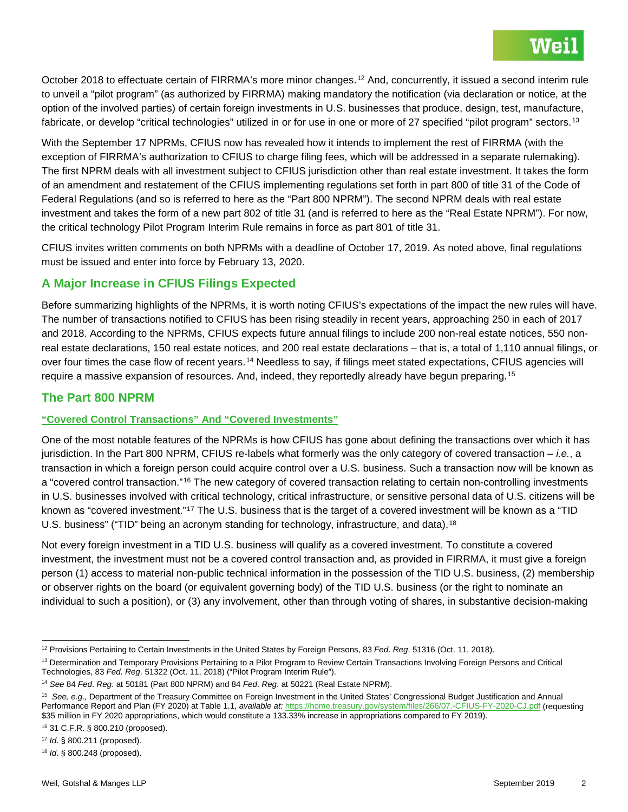October 2018 to effectuate certain of FIRRMA's more minor changes.<sup>[12](#page-1-0)</sup> And, concurrently, it issued a second interim rule to unveil a "pilot program" (as authorized by FIRRMA) making mandatory the notification (via declaration or notice, at the option of the involved parties) of certain foreign investments in U.S. businesses that produce, design, test, manufacture, fabricate, or develop "critical technologies" utilized in or for use in one or more of 27 specified "pilot program" sectors.<sup>[13](#page-1-1)</sup>

With the September 17 NPRMs, CFIUS now has revealed how it intends to implement the rest of FIRRMA (with the exception of FIRRMA's authorization to CFIUS to charge filing fees, which will be addressed in a separate rulemaking). The first NPRM deals with all investment subject to CFIUS jurisdiction other than real estate investment. It takes the form of an amendment and restatement of the CFIUS implementing regulations set forth in part 800 of title 31 of the Code of Federal Regulations (and so is referred to here as the "Part 800 NPRM"). The second NPRM deals with real estate investment and takes the form of a new part 802 of title 31 (and is referred to here as the "Real Estate NPRM"). For now, the critical technology Pilot Program Interim Rule remains in force as part 801 of title 31.

CFIUS invites written comments on both NPRMs with a deadline of October 17, 2019. As noted above, final regulations must be issued and enter into force by February 13, 2020.

# **A Major Increase in CFIUS Filings Expected**

Before summarizing highlights of the NPRMs, it is worth noting CFIUS's expectations of the impact the new rules will have. The number of transactions notified to CFIUS has been rising steadily in recent years, approaching 250 in each of 2017 and 2018. According to the NPRMs, CFIUS expects future annual filings to include 200 non-real estate notices, 550 nonreal estate declarations, 150 real estate notices, and 200 real estate declarations – that is, a total of 1,110 annual filings, or over four times the case flow of recent years.[14](#page-1-2) Needless to say, if filings meet stated expectations, CFIUS agencies will require a massive expansion of resources. And, indeed, they reportedly already have begun preparing.[15](#page-1-3)

## **The Part 800 NPRM**

## **"Covered Control Transactions" And "Covered Investments"**

One of the most notable features of the NPRMs is how CFIUS has gone about defining the transactions over which it has jurisdiction. In the Part 800 NPRM, CFIUS re-labels what formerly was the only category of covered transaction – *i.e.*, a transaction in which a foreign person could acquire control over a U.S. business. Such a transaction now will be known as a "covered control transaction."<sup>[16](#page-1-4)</sup> The new category of covered transaction relating to certain non-controlling investments in U.S. businesses involved with critical technology, critical infrastructure, or sensitive personal data of U.S. citizens will be known as "covered investment."<sup>[17](#page-1-5)</sup> The U.S. business that is the target of a covered investment will be known as a "TID U.S. business" ("TID" being an acronym standing for technology, infrastructure, and data).<sup>[18](#page-1-6)</sup>

Not every foreign investment in a TID U.S. business will qualify as a covered investment. To constitute a covered investment, the investment must not be a covered control transaction and, as provided in FIRRMA, it must give a foreign person (1) access to material non-public technical information in the possession of the TID U.S. business, (2) membership or observer rights on the board (or equivalent governing body) of the TID U.S. business (or the right to nominate an individual to such a position), or (3) any involvement, other than through voting of shares, in substantive decision-making

<span id="page-1-4"></span><sup>16</sup> 31 C.F.R. § 800.210 (proposed).

<span id="page-1-0"></span> <sup>12</sup> Provisions Pertaining to Certain Investments in the United States by Foreign Persons, 83 *Fed*. *Reg*. 51316 (Oct. 11, 2018).

<span id="page-1-1"></span><sup>&</sup>lt;sup>13</sup> Determination and Temporary Provisions Pertaining to a Pilot Program to Review Certain Transactions Involving Foreign Persons and Critical Technologies, 83 *Fed*. *Reg*. 51322 (Oct. 11, 2018) ("Pilot Program Interim Rule").

<span id="page-1-2"></span><sup>14</sup> *See* 84 *Fed*. *Reg*. at 50181 (Part 800 NPRM) and 84 *Fed*. *Reg*. at 50221 (Real Estate NPRM).

<span id="page-1-3"></span><sup>15</sup> *See, e.g.,* Department of the Treasury Committee on Foreign Investment in the United States' Congressional Budget Justification and Annual Performance Report and Plan (FY 2020) at Table 1.1, *available at:* <https://home.treasury.gov/system/files/266/07.-CFIUS-FY-2020-CJ.pdf> (requesting \$35 million in FY 2020 appropriations, which would constitute a 133.33% increase in appropriations compared to FY 2019).

<span id="page-1-5"></span><sup>17</sup> *Id*. § 800.211 (proposed).

<span id="page-1-6"></span><sup>18</sup> *Id*. § 800.248 (proposed).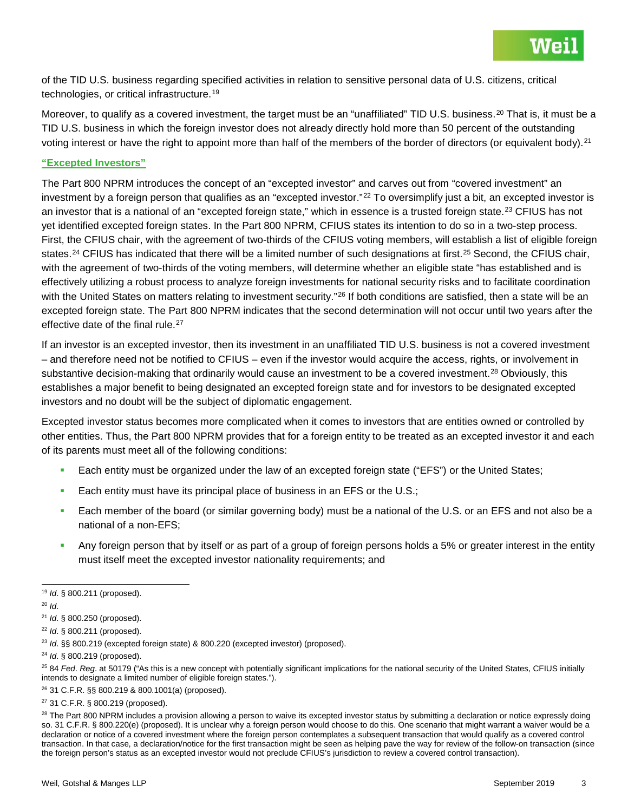

of the TID U.S. business regarding specified activities in relation to sensitive personal data of U.S. citizens, critical technologies, or critical infrastructure.<sup>[19](#page-2-0)</sup>

Moreover, to qualify as a covered investment, the target must be an "unaffiliated" TID U.S. business.<sup>[20](#page-2-1)</sup> That is, it must be a TID U.S. business in which the foreign investor does not already directly hold more than 50 percent of the outstanding voting interest or have the right to appoint more than half of the members of the border of directors (or equivalent body).<sup>[21](#page-2-2)</sup>

#### **"Excepted Investors"**

The Part 800 NPRM introduces the concept of an "excepted investor" and carves out from "covered investment" an investment by a foreign person that qualifies as an "excepted investor."<sup>[22](#page-2-3)</sup> To oversimplify just a bit, an excepted investor is an investor that is a national of an "excepted foreign state," which in essence is a trusted foreign state.<sup>[23](#page-2-4)</sup> CFIUS has not yet identified excepted foreign states. In the Part 800 NPRM, CFIUS states its intention to do so in a two-step process. First, the CFIUS chair, with the agreement of two-thirds of the CFIUS voting members, will establish a list of eligible foreign states.<sup>[24](#page-2-5)</sup> CFIUS has indicated that there will be a limited number of such designations at first.<sup>[25](#page-2-6)</sup> Second, the CFIUS chair, with the agreement of two-thirds of the voting members, will determine whether an eligible state "has established and is effectively utilizing a robust process to analyze foreign investments for national security risks and to facilitate coordination with the United States on matters relating to investment security."<sup>[26](#page-2-7)</sup> If both conditions are satisfied, then a state will be an excepted foreign state. The Part 800 NPRM indicates that the second determination will not occur until two years after the effective date of the final rule.<sup>[27](#page-2-8)</sup>

If an investor is an excepted investor, then its investment in an unaffiliated TID U.S. business is not a covered investment – and therefore need not be notified to CFIUS – even if the investor would acquire the access, rights, or involvement in substantive decision-making that ordinarily would cause an investment to be a covered investment.<sup>[28](#page-2-9)</sup> Obviously, this establishes a major benefit to being designated an excepted foreign state and for investors to be designated excepted investors and no doubt will be the subject of diplomatic engagement.

Excepted investor status becomes more complicated when it comes to investors that are entities owned or controlled by other entities. Thus, the Part 800 NPRM provides that for a foreign entity to be treated as an excepted investor it and each of its parents must meet all of the following conditions:

- Each entity must be organized under the law of an excepted foreign state ("EFS") or the United States;
- **Each entity must have its principal place of business in an EFS or the U.S.;**
- Each member of the board (or similar governing body) must be a national of the U.S. or an EFS and not also be a national of a non-EFS;
- Any foreign person that by itself or as part of a group of foreign persons holds a 5% or greater interest in the entity must itself meet the excepted investor nationality requirements; and

<span id="page-2-7"></span><sup>26</sup> 31 C.F.R. §§ 800.219 & 800.1001(a) (proposed).

<span id="page-2-0"></span> <sup>19</sup> *Id*. § 800.211 (proposed).

<span id="page-2-1"></span><sup>20</sup> *Id*.

<span id="page-2-2"></span><sup>21</sup> *Id*. § 800.250 (proposed).

<span id="page-2-3"></span><sup>22</sup> *Id*. § 800.211 (proposed).

<span id="page-2-4"></span><sup>23</sup> *Id*. §§ 800.219 (excepted foreign state) & 800.220 (excepted investor) (proposed).

<span id="page-2-5"></span><sup>24</sup> *Id*. § 800.219 (proposed).

<span id="page-2-6"></span><sup>25</sup> 84 *Fed*. *Reg*. at 50179 ("As this is a new concept with potentially significant implications for the national security of the United States, CFIUS initially intends to designate a limited number of eligible foreign states.").

<span id="page-2-8"></span><sup>27</sup> 31 C.F.R. § 800.219 (proposed).

<span id="page-2-9"></span><sup>&</sup>lt;sup>28</sup> The Part 800 NPRM includes a provision allowing a person to waive its excepted investor status by submitting a declaration or notice expressly doing so. 31 C.F.R. § 800.220(e) (proposed). It is unclear why a foreign person would choose to do this. One scenario that might warrant a waiver would be a declaration or notice of a covered investment where the foreign person contemplates a subsequent transaction that would qualify as a covered control transaction. In that case, a declaration/notice for the first transaction might be seen as helping pave the way for review of the follow-on transaction (since the foreign person's status as an excepted investor would not preclude CFIUS's jurisdiction to review a covered control transaction).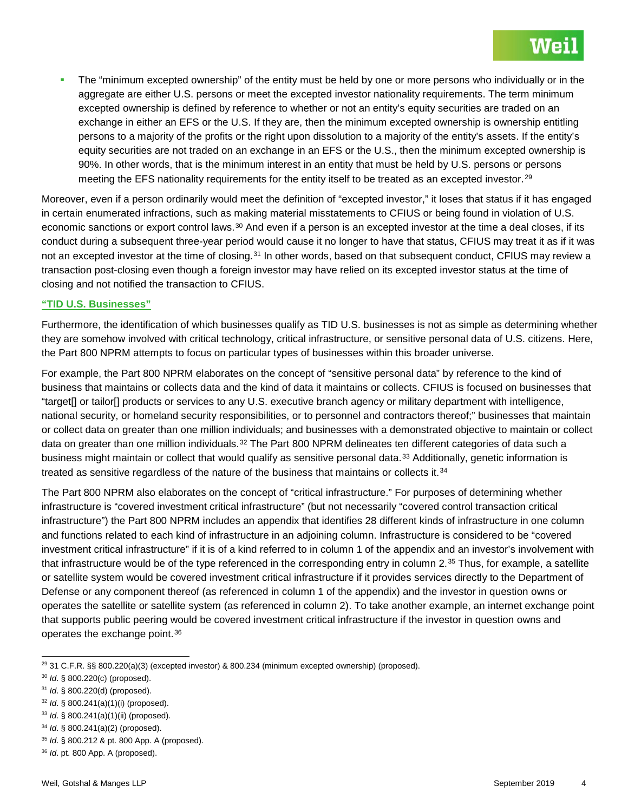The "minimum excepted ownership" of the entity must be held by one or more persons who individually or in the aggregate are either U.S. persons or meet the excepted investor nationality requirements. The term minimum excepted ownership is defined by reference to whether or not an entity's equity securities are traded on an exchange in either an EFS or the U.S. If they are, then the minimum excepted ownership is ownership entitling persons to a majority of the profits or the right upon dissolution to a majority of the entity's assets. If the entity's equity securities are not traded on an exchange in an EFS or the U.S., then the minimum excepted ownership is 90%. In other words, that is the minimum interest in an entity that must be held by U.S. persons or persons meeting the EFS nationality requirements for the entity itself to be treated as an excepted investor.[29](#page-3-0)

Moreover, even if a person ordinarily would meet the definition of "excepted investor," it loses that status if it has engaged in certain enumerated infractions, such as making material misstatements to CFIUS or being found in violation of U.S. economic sanctions or export control laws.<sup>[30](#page-3-1)</sup> And even if a person is an excepted investor at the time a deal closes, if its conduct during a subsequent three-year period would cause it no longer to have that status, CFIUS may treat it as if it was not an excepted investor at the time of closing.<sup>[31](#page-3-2)</sup> In other words, based on that subsequent conduct, CFIUS may review a transaction post-closing even though a foreign investor may have relied on its excepted investor status at the time of closing and not notified the transaction to CFIUS.

#### **"TID U.S. Businesses"**

Furthermore, the identification of which businesses qualify as TID U.S. businesses is not as simple as determining whether they are somehow involved with critical technology, critical infrastructure, or sensitive personal data of U.S. citizens. Here, the Part 800 NPRM attempts to focus on particular types of businesses within this broader universe.

For example, the Part 800 NPRM elaborates on the concept of "sensitive personal data" by reference to the kind of business that maintains or collects data and the kind of data it maintains or collects. CFIUS is focused on businesses that "target[] or tailor[] products or services to any U.S. executive branch agency or military department with intelligence, national security, or homeland security responsibilities, or to personnel and contractors thereof;" businesses that maintain or collect data on greater than one million individuals; and businesses with a demonstrated objective to maintain or collect data on greater than one million individuals.<sup>[32](#page-3-3)</sup> The Part 800 NPRM delineates ten different categories of data such a business might maintain or collect that would qualify as sensitive personal data.<sup>[33](#page-3-4)</sup> Additionally, genetic information is treated as sensitive regardless of the nature of the business that maintains or collects it.<sup>[34](#page-3-5)</sup>

The Part 800 NPRM also elaborates on the concept of "critical infrastructure." For purposes of determining whether infrastructure is "covered investment critical infrastructure" (but not necessarily "covered control transaction critical infrastructure") the Part 800 NPRM includes an appendix that identifies 28 different kinds of infrastructure in one column and functions related to each kind of infrastructure in an adjoining column. Infrastructure is considered to be "covered investment critical infrastructure" if it is of a kind referred to in column 1 of the appendix and an investor's involvement with that infrastructure would be of the type referenced in the corresponding entry in column  $2.35$  $2.35$  Thus, for example, a satellite or satellite system would be covered investment critical infrastructure if it provides services directly to the Department of Defense or any component thereof (as referenced in column 1 of the appendix) and the investor in question owns or operates the satellite or satellite system (as referenced in column 2). To take another example, an internet exchange point that supports public peering would be covered investment critical infrastructure if the investor in question owns and operates the exchange point.<sup>[36](#page-3-7)</sup>

<span id="page-3-0"></span> $^{29}$  31 C.F.R. §§ 800.220(a)(3) (excepted investor) & 800.234 (minimum excepted ownership) (proposed).

<span id="page-3-1"></span><sup>30</sup> *Id*. § 800.220(c) (proposed).

<span id="page-3-2"></span><sup>31</sup> *Id*. § 800.220(d) (proposed).

<span id="page-3-3"></span><sup>32</sup> *Id*. § 800.241(a)(1)(i) (proposed).

<span id="page-3-4"></span><sup>33</sup> *Id*. § 800.241(a)(1)(ii) (proposed).

<span id="page-3-5"></span><sup>34</sup> *Id*. § 800.241(a)(2) (proposed).

<span id="page-3-6"></span><sup>35</sup> *Id*. § 800.212 & pt. 800 App. A (proposed).

<span id="page-3-7"></span><sup>36</sup> *Id*. pt. 800 App. A (proposed).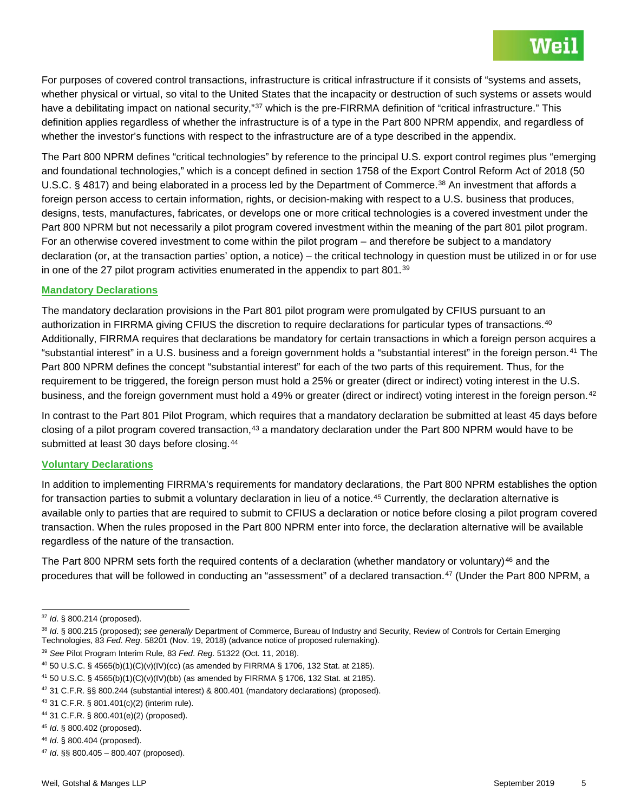For purposes of covered control transactions, infrastructure is critical infrastructure if it consists of "systems and assets, whether physical or virtual, so vital to the United States that the incapacity or destruction of such systems or assets would have a debilitating impact on national security,"<sup>[37](#page-4-0)</sup> which is the pre-FIRRMA definition of "critical infrastructure." This definition applies regardless of whether the infrastructure is of a type in the Part 800 NPRM appendix, and regardless of whether the investor's functions with respect to the infrastructure are of a type described in the appendix.

The Part 800 NPRM defines "critical technologies" by reference to the principal U.S. export control regimes plus "emerging and foundational technologies," which is a concept defined in section 1758 of the Export Control Reform Act of 2018 (50 U.S.C. § 4817) and being elaborated in a process led by the Department of Commerce.<sup>[38](#page-4-1)</sup> An investment that affords a foreign person access to certain information, rights, or decision-making with respect to a U.S. business that produces, designs, tests, manufactures, fabricates, or develops one or more critical technologies is a covered investment under the Part 800 NPRM but not necessarily a pilot program covered investment within the meaning of the part 801 pilot program. For an otherwise covered investment to come within the pilot program – and therefore be subject to a mandatory declaration (or, at the transaction parties' option, a notice) – the critical technology in question must be utilized in or for use in one of the 27 pilot program activities enumerated in the appendix to part 801.[39](#page-4-2)

#### **Mandatory Declarations**

The mandatory declaration provisions in the Part 801 pilot program were promulgated by CFIUS pursuant to an authorization in FIRRMA giving CFIUS the discretion to require declarations for particular types of transactions.<sup>[40](#page-4-3)</sup> Additionally, FIRRMA requires that declarations be mandatory for certain transactions in which a foreign person acquires a "substantial interest" in a U.S. business and a foreign government holds a "substantial interest" in the foreign person.[41](#page-4-4) The Part 800 NPRM defines the concept "substantial interest" for each of the two parts of this requirement. Thus, for the requirement to be triggered, the foreign person must hold a 25% or greater (direct or indirect) voting interest in the U.S. business, and the foreign government must hold a 49% or greater (direct or indirect) voting interest in the foreign person.<sup>[42](#page-4-5)</sup>

In contrast to the Part 801 Pilot Program, which requires that a mandatory declaration be submitted at least 45 days before closing of a pilot program covered transaction,<sup>[43](#page-4-6)</sup> a mandatory declaration under the Part 800 NPRM would have to be submitted at least 30 days before closing.<sup>[44](#page-4-7)</sup>

#### **Voluntary Declarations**

In addition to implementing FIRRMA's requirements for mandatory declarations, the Part 800 NPRM establishes the option for transaction parties to submit a voluntary declaration in lieu of a notice.<sup>[45](#page-4-8)</sup> Currently, the declaration alternative is available only to parties that are required to submit to CFIUS a declaration or notice before closing a pilot program covered transaction. When the rules proposed in the Part 800 NPRM enter into force, the declaration alternative will be available regardless of the nature of the transaction.

The Part 800 NPRM sets forth the required contents of a declaration (whether mandatory or voluntary)<sup>[46](#page-4-9)</sup> and the procedures that will be followed in conducting an "assessment" of a declared transaction.<sup>[47](#page-4-10)</sup> (Under the Part 800 NPRM, a

<span id="page-4-2"></span><sup>39</sup> *See* Pilot Program Interim Rule, 83 *Fed*. *Reg*. 51322 (Oct. 11, 2018).

<span id="page-4-0"></span> <sup>37</sup> *Id*. § 800.214 (proposed).

<span id="page-4-1"></span><sup>38</sup> *Id*. § 800.215 (proposed); *see generally* Department of Commerce, Bureau of Industry and Security, Review of Controls for Certain Emerging Technologies, 83 *Fed*. *Reg*. 58201 (Nov. 19, 2018) (advance notice of proposed rulemaking).

<span id="page-4-3"></span> $40$  50 U.S.C. § 4565(b)(1)(C)(v)(IV)(cc) (as amended by FIRRMA § 1706, 132 Stat. at 2185).

<span id="page-4-4"></span><sup>&</sup>lt;sup>41</sup> 50 U.S.C. § 4565(b)(1)(C)(v)(lV)(bb) (as amended by FIRRMA § 1706, 132 Stat. at 2185).

<span id="page-4-5"></span><sup>42</sup> 31 C.F.R. §§ 800.244 (substantial interest) & 800.401 (mandatory declarations) (proposed).

<span id="page-4-6"></span><sup>43</sup> 31 C.F.R. § 801.401(c)(2) (interim rule).

<span id="page-4-7"></span><sup>44</sup> 31 C.F.R. § 800.401(e)(2) (proposed).

<span id="page-4-8"></span><sup>45</sup> *Id*. § 800.402 (proposed).

<span id="page-4-9"></span><sup>46</sup> *Id*. § 800.404 (proposed).

<span id="page-4-10"></span><sup>47</sup> *Id*. §§ 800.405 – 800.407 (proposed).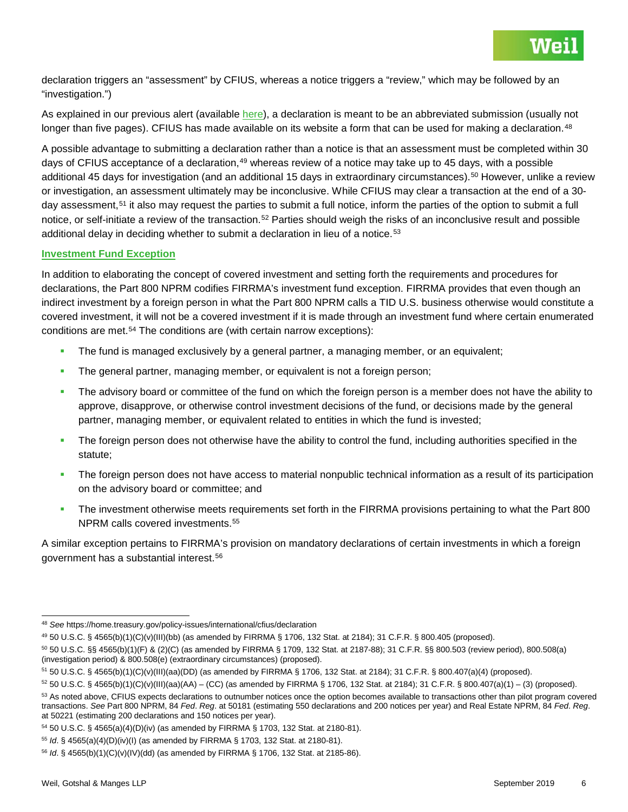declaration triggers an "assessment" by CFIUS, whereas a notice triggers a "review," which may be followed by an "investigation.")

As explained in our previous alert (available [here\)](https://www.weil.com/%7E/media/publications/alerts/2018/overhaul-of-cfius-national-security-reviews_alert.pdf), a declaration is meant to be an abbreviated submission (usually not longer than five pages). CFIUS has made available on its website a form that can be used for making a declaration.<sup>[48](#page-5-0)</sup>

A possible advantage to submitting a declaration rather than a notice is that an assessment must be completed within 30 days of CFIUS acceptance of a declaration,<sup>[49](#page-5-1)</sup> whereas review of a notice may take up to 45 days, with a possible additional 45 days for investigation (and an additional 15 days in extraordinary circumstances).<sup>[50](#page-5-2)</sup> However, unlike a review or investigation, an assessment ultimately may be inconclusive. While CFIUS may clear a transaction at the end of a 30- day assessment,<sup>[51](#page-5-3)</sup> it also may request the parties to submit a full notice, inform the parties of the option to submit a full notice, or self-initiate a review of the transaction.<sup>[52](#page-5-4)</sup> Parties should weigh the risks of an inconclusive result and possible additional delay in deciding whether to submit a declaration in lieu of a notice.<sup>[53](#page-5-5)</sup>

#### **Investment Fund Exception**

In addition to elaborating the concept of covered investment and setting forth the requirements and procedures for declarations, the Part 800 NPRM codifies FIRRMA's investment fund exception. FIRRMA provides that even though an indirect investment by a foreign person in what the Part 800 NPRM calls a TID U.S. business otherwise would constitute a covered investment, it will not be a covered investment if it is made through an investment fund where certain enumerated conditions are met.<sup>[54](#page-5-6)</sup> The conditions are (with certain narrow exceptions):

- The fund is managed exclusively by a general partner, a managing member, or an equivalent;
- **The general partner, managing member, or equivalent is not a foreign person;**
- The advisory board or committee of the fund on which the foreign person is a member does not have the ability to approve, disapprove, or otherwise control investment decisions of the fund, or decisions made by the general partner, managing member, or equivalent related to entities in which the fund is invested;
- The foreign person does not otherwise have the ability to control the fund, including authorities specified in the statute;
- The foreign person does not have access to material nonpublic technical information as a result of its participation on the advisory board or committee; and
- The investment otherwise meets requirements set forth in the FIRRMA provisions pertaining to what the Part 800 NPRM calls covered investments.<sup>[55](#page-5-7)</sup>

A similar exception pertains to FIRRMA's provision on mandatory declarations of certain investments in which a foreign government has a substantial interest.[56](#page-5-8)

<span id="page-5-0"></span> <sup>48</sup> *See* https://home.treasury.gov/policy-issues/international/cfius/declaration

<span id="page-5-1"></span><sup>49</sup> 50 U.S.C. § 4565(b)(1)(C)(v)(III)(bb) (as amended by FIRRMA § 1706, 132 Stat. at 2184); 31 C.F.R. § 800.405 (proposed).

<span id="page-5-2"></span><sup>50</sup> 50 U.S.C. §§ 4565(b)(1)(F) & (2)(C) (as amended by FIRRMA § 1709, 132 Stat. at 2187-88); 31 C.F.R. §§ 800.503 (review period), 800.508(a) (investigation period) & 800.508(e) (extraordinary circumstances) (proposed).

<span id="page-5-3"></span><sup>51</sup> 50 U.S.C. § 4565(b)(1)(C)(v)(III)(aa)(DD) (as amended by FIRRMA § 1706, 132 Stat. at 2184); 31 C.F.R. § 800.407(a)(4) (proposed).

<span id="page-5-4"></span> $52$  50 U.S.C. § 4565(b)(1)(C)(v)(III)(aa)(AA) – (CC) (as amended by FIRRMA § 1706, 132 Stat. at 2184); 31 C.F.R. § 800.407(a)(1) – (3) (proposed).

<span id="page-5-5"></span><sup>&</sup>lt;sup>53</sup> As noted above, CFIUS expects declarations to outnumber notices once the option becomes available to transactions other than pilot program covered transactions. *See* Part 800 NPRM, 84 *Fed*. *Reg*. at 50181 (estimating 550 declarations and 200 notices per year) and Real Estate NPRM, 84 *Fed*. *Reg*. at 50221 (estimating 200 declarations and 150 notices per year).

<span id="page-5-6"></span><sup>54</sup> 50 U.S.C. § 4565(a)(4)(D)(iv) (as amended by FIRRMA § 1703, 132 Stat. at 2180-81).

<span id="page-5-7"></span><sup>55</sup> *Id*. § 4565(a)(4)(D)(iv)(I) (as amended by FIRRMA § 1703, 132 Stat. at 2180-81).

<span id="page-5-8"></span><sup>56</sup> *Id*. § 4565(b)(1)(C)(v)(IV)(dd) (as amended by FIRRMA § 1706, 132 Stat. at 2185-86).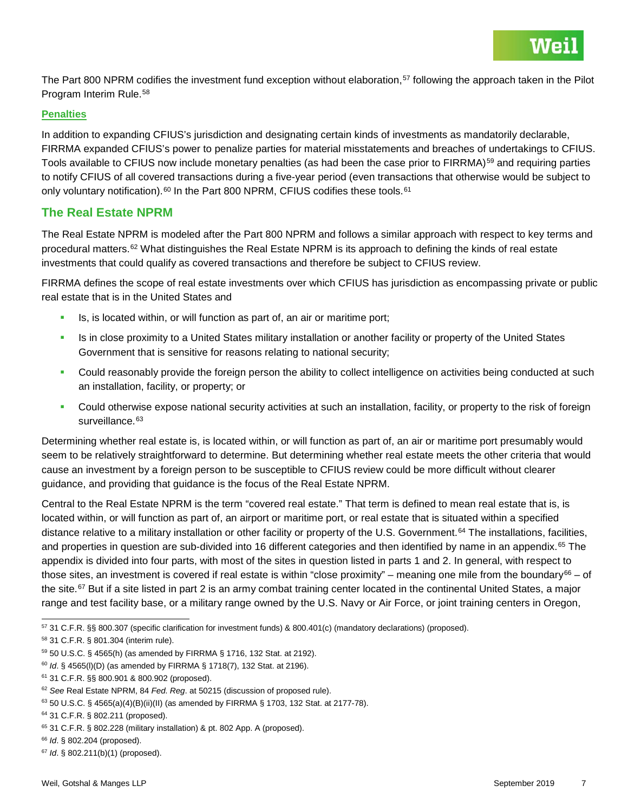

The Part 800 NPRM codifies the investment fund exception without elaboration,<sup>[57](#page-6-0)</sup> following the approach taken in the Pilot Program Interim Rule.[58](#page-6-1)

#### **Penalties**

In addition to expanding CFIUS's jurisdiction and designating certain kinds of investments as mandatorily declarable, FIRRMA expanded CFIUS's power to penalize parties for material misstatements and breaches of undertakings to CFIUS. Tools available to CFIUS now include monetary penalties (as had been the case prior to FIRRMA)<sup>[59](#page-6-2)</sup> and requiring parties to notify CFIUS of all covered transactions during a five-year period (even transactions that otherwise would be subject to only voluntary notification).<sup>[60](#page-6-3)</sup> In the Part 800 NPRM, CFIUS codifies these tools.<sup>[61](#page-6-4)</sup>

## **The Real Estate NPRM**

The Real Estate NPRM is modeled after the Part 800 NPRM and follows a similar approach with respect to key terms and procedural matters.<sup>[62](#page-6-5)</sup> What distinguishes the Real Estate NPRM is its approach to defining the kinds of real estate investments that could qualify as covered transactions and therefore be subject to CFIUS review.

FIRRMA defines the scope of real estate investments over which CFIUS has jurisdiction as encompassing private or public real estate that is in the United States and

- Is, is located within, or will function as part of, an air or maritime port;
- Is in close proximity to a United States military installation or another facility or property of the United States Government that is sensitive for reasons relating to national security;
- **Could reasonably provide the foreign person the ability to collect intelligence on activities being conducted at such** an installation, facility, or property; or
- Could otherwise expose national security activities at such an installation, facility, or property to the risk of foreign surveillance.<sup>[63](#page-6-6)</sup>

Determining whether real estate is, is located within, or will function as part of, an air or maritime port presumably would seem to be relatively straightforward to determine. But determining whether real estate meets the other criteria that would cause an investment by a foreign person to be susceptible to CFIUS review could be more difficult without clearer guidance, and providing that guidance is the focus of the Real Estate NPRM.

Central to the Real Estate NPRM is the term "covered real estate." That term is defined to mean real estate that is, is located within, or will function as part of, an airport or maritime port, or real estate that is situated within a specified distance relative to a military installation or other facility or property of the U.S. Government.<sup>[64](#page-6-7)</sup> The installations, facilities, and properties in question are sub-divided into 16 different categories and then identified by name in an appendix.<sup>[65](#page-6-8)</sup> The appendix is divided into four parts, with most of the sites in question listed in parts 1 and 2. In general, with respect to those sites, an investment is covered if real estate is within "close proximity" – meaning one mile from the boundary $66 66 -$  of the site.<sup>[67](#page-6-10)</sup> But if a site listed in part 2 is an army combat training center located in the continental United States, a major range and test facility base, or a military range owned by the U.S. Navy or Air Force, or joint training centers in Oregon,

<span id="page-6-0"></span> <sup>57</sup> 31 C.F.R. §§ 800.307 (specific clarification for investment funds) & 800.401(c) (mandatory declarations) (proposed).

<span id="page-6-1"></span><sup>58</sup> 31 C.F.R. § 801.304 (interim rule).

<span id="page-6-2"></span><sup>59</sup> 50 U.S.C. § 4565(h) (as amended by FIRRMA § 1716, 132 Stat. at 2192).

<span id="page-6-3"></span><sup>60</sup> *Id*. § 4565(l)(D) (as amended by FIRRMA § 1718(7), 132 Stat. at 2196).

<span id="page-6-4"></span><sup>61</sup> 31 C.F.R. §§ 800.901 & 800.902 (proposed).

<span id="page-6-5"></span><sup>62</sup> *See* Real Estate NPRM, 84 *Fed*. *Reg*. at 50215 (discussion of proposed rule).

<span id="page-6-6"></span> $63$  50 U.S.C. § 4565(a)(4)(B)(ii)(II) (as amended by FIRRMA § 1703, 132 Stat. at 2177-78).

<span id="page-6-7"></span><sup>64</sup> 31 C.F.R. § 802.211 (proposed).

<span id="page-6-8"></span><sup>65</sup> 31 C.F.R. § 802.228 (military installation) & pt. 802 App. A (proposed).

<span id="page-6-9"></span><sup>66</sup> *Id*. § 802.204 (proposed).

<span id="page-6-10"></span><sup>67</sup> *Id*. § 802.211(b)(1) (proposed).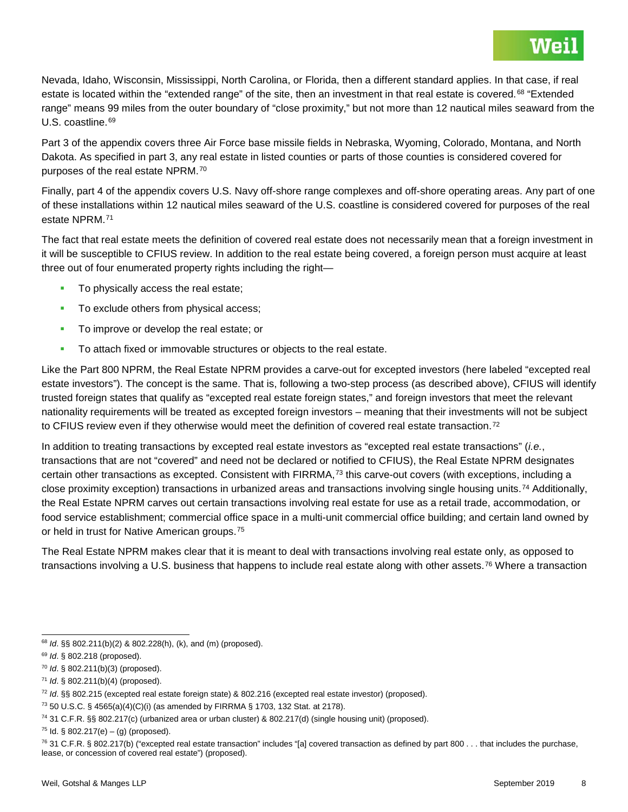Nevada, Idaho, Wisconsin, Mississippi, North Carolina, or Florida, then a different standard applies. In that case, if real estate is located within the "extended range" of the site, then an investment in that real estate is covered.<sup>[68](#page-7-0)</sup> "Extended range" means 99 miles from the outer boundary of "close proximity," but not more than 12 nautical miles seaward from the U.S. coastline.<sup>[69](#page-7-1)</sup>

Part 3 of the appendix covers three Air Force base missile fields in Nebraska, Wyoming, Colorado, Montana, and North Dakota. As specified in part 3, any real estate in listed counties or parts of those counties is considered covered for purposes of the real estate NPRM.[70](#page-7-2)

Finally, part 4 of the appendix covers U.S. Navy off-shore range complexes and off-shore operating areas. Any part of one of these installations within 12 nautical miles seaward of the U.S. coastline is considered covered for purposes of the real estate NPRM.[71](#page-7-3)

The fact that real estate meets the definition of covered real estate does not necessarily mean that a foreign investment in it will be susceptible to CFIUS review. In addition to the real estate being covered, a foreign person must acquire at least three out of four enumerated property rights including the right—

- To physically access the real estate;
- To exclude others from physical access;
- To improve or develop the real estate; or
- To attach fixed or immovable structures or objects to the real estate.

Like the Part 800 NPRM, the Real Estate NPRM provides a carve-out for excepted investors (here labeled "excepted real estate investors"). The concept is the same. That is, following a two-step process (as described above), CFIUS will identify trusted foreign states that qualify as "excepted real estate foreign states," and foreign investors that meet the relevant nationality requirements will be treated as excepted foreign investors – meaning that their investments will not be subject to CFIUS review even if they otherwise would meet the definition of covered real estate transaction.<sup>[72](#page-7-4)</sup>

In addition to treating transactions by excepted real estate investors as "excepted real estate transactions" (*i.e.*, transactions that are not "covered" and need not be declared or notified to CFIUS), the Real Estate NPRM designates certain other transactions as excepted. Consistent with  $FIRRMA$ ,<sup> $73$ </sup> this carve-out covers (with exceptions, including a close proximity exception) transactions in urbanized areas and transactions involving single housing units.[74](#page-7-6) Additionally, the Real Estate NPRM carves out certain transactions involving real estate for use as a retail trade, accommodation, or food service establishment; commercial office space in a multi-unit commercial office building; and certain land owned by or held in trust for Native American groups.<sup>[75](#page-7-7)</sup>

The Real Estate NPRM makes clear that it is meant to deal with transactions involving real estate only, as opposed to transactions involving a U.S. business that happens to include real estate along with other assets.<sup>[76](#page-7-8)</sup> Where a transaction

<span id="page-7-0"></span> <sup>68</sup> *Id*. §§ 802.211(b)(2) & 802.228(h), (k), and (m) (proposed).

<span id="page-7-1"></span><sup>69</sup> *Id*. § 802.218 (proposed).

<span id="page-7-2"></span><sup>70</sup> *Id*. § 802.211(b)(3) (proposed).

<span id="page-7-3"></span><sup>71</sup> *Id*. § 802.211(b)(4) (proposed).

<span id="page-7-4"></span><sup>72</sup> *Id*. §§ 802.215 (excepted real estate foreign state) & 802.216 (excepted real estate investor) (proposed).

<span id="page-7-5"></span><sup>73</sup> 50 U.S.C. § 4565(a)(4)(C)(i) (as amended by FIRRMA § 1703, 132 Stat. at 2178).

<span id="page-7-6"></span><sup>74</sup> 31 C.F.R. §§ 802.217(c) (urbanized area or urban cluster) & 802.217(d) (single housing unit) (proposed).

<span id="page-7-7"></span> $75$  Id. § 802.217(e) – (g) (proposed).

<span id="page-7-8"></span> $76$  31 C.F.R. § 802.217(b) ("excepted real estate transaction" includes "[a] covered transaction as defined by part 800 . . . that includes the purchase, lease, or concession of covered real estate") (proposed).